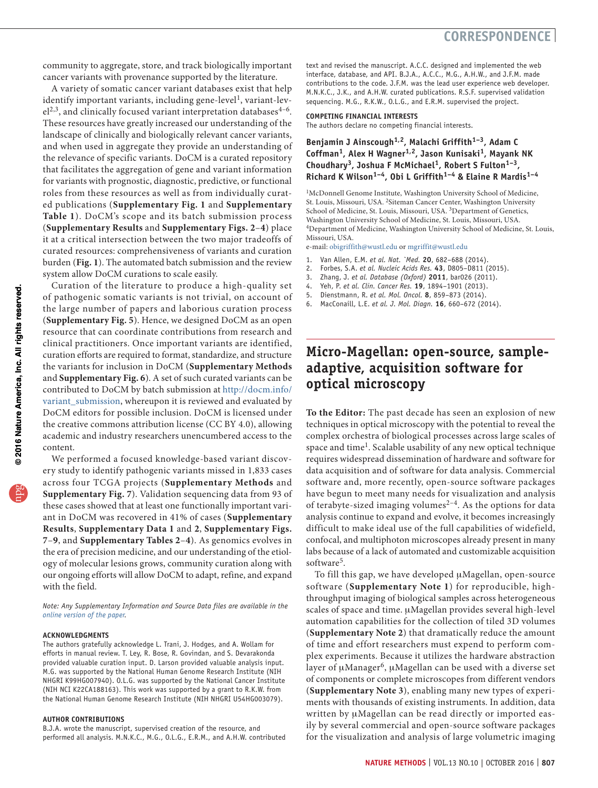community to aggregate, store, and track biologically important cancer variants with provenance supported by the literature.

A variety of somatic cancer variant databases exist that help identify important variants, including gene-level<sup>1</sup>, variant-lev $el^{2,3}$ , and clinically focused variant interpretation databases<sup>4-6</sup>. These resources have greatly increased our understanding of the landscape of clinically and biologically relevant cancer variants, and when used in aggregate they provide an understanding of the relevance of specific variants. DoCM is a curated repository that facilitates the aggregation of gene and variant information for variants with prognostic, diagnostic, predictive, or functional roles from these resources as well as from individually curated publications (**Supplementary Fig. 1** and **Supplementary Table 1**). DoCM's scope and its batch submission process (**Supplementary Results** and **Supplementary Figs. 2**–**4**) place it at a critical intersection between the two major tradeoffs of curated resources: comprehensiveness of variants and curation burden (**Fig. 1**). The automated batch submission and the review system allow DoCM curations to scale easily.

Curation of the literature to produce a high-quality set of pathogenic somatic variants is not trivial, on account of the large number of papers and laborious curation process (**Supplementary Fig. 5**). Hence, we designed DoCM as an open resource that can coordinate contributions from research and clinical practitioners. Once important variants are identified, curation efforts are required to format, standardize, and structure the variants for inclusion in DoCM (**Supplementary Methods** and **Supplementary Fig. 6**). A set of such curated variants can be contributed to DoCM by batch submission at [http://docm.info/](http://docm.info/variant_submission) [variant\\_submission,](http://docm.info/variant_submission) whereupon it is reviewed and evaluated by DoCM editors for possible inclusion. DoCM is licensed under the creative commons attribution license (CC BY 4.0), allowing academic and industry researchers unencumbered access to the content.

We performed a focused knowledge-based variant discovery study to identify pathogenic variants missed in 1,833 cases across four TCGA projects (**Supplementary Methods** and **Supplementary Fig. 7**). Validation sequencing data from 93 of these cases showed that at least one functionally important variant in DoCM was recovered in 41% of cases (**Supplementary Results**, **Supplementary Data 1** and **2**, **Supplementary Figs. 7**–**9**, and **Supplementary Tables 2**–**4**). As genomics evolves in the era of precision medicine, and our understanding of the etiology of molecular lesions grows, community curation along with our ongoing efforts will allow DoCM to adapt, refine, and expand with the field.

*Note: Any Supplementary Information and Source Data files are available in the [online version of the paper.](http://dx.doi.org/10.1038/nmeth.4000)*

#### **ACKNOWLEDGMENTS**

The authors gratefully acknowledge L. Trani, J. Hodges, and A. Wollam for efforts in manual review. T. Ley, R. Bose, R. Govindan, and S. Devarakonda provided valuable curation input. D. Larson provided valuable analysis input. M.G. was supported by the National Human Genome Research Institute (NIH NHGRI K99HG007940). O.L.G. was supported by the National Cancer Institute (NIH NCI K22CA188163). This work was supported by a grant to R.K.W. from the National Human Genome Research Institute (NIH NHGRI U54HG003079).

#### **AUTHOR CONTRIBUTIONS**

B.J.A. wrote the manuscript, supervised creation of the resource, and performed all analysis. M.N.K.C., M.G., O.L.G., E.R.M., and A.H.W. contributed text and revised the manuscript. A.C.C. designed and implemented the web interface, database, and API. B.J.A., A.C.C., M.G., A.H.W., and J.F.M. made contributions to the code. J.F.M. was the lead user experience web developer. M.N.K.C., J.K., and A.H.W. curated publications. R.S.F. supervised validation sequencing. M.G., R.K.W., O.L.G., and E.R.M. supervised the project.

#### **COMPETING FINANCIAL INTERESTS**

The authors declare no competing financial interests.

### **Benjamin J Ainscough1,2, Malachi Griffith1–3, Adam C**  Coffman<sup>1</sup>, Alex H Wagner<sup>1,2</sup>, Jason Kunisaki<sup>1</sup>, Mayank NK Choudhary<sup>3</sup>, Joshua F McMichael<sup>1</sup>, Robert S Fulton<sup>1-3</sup>, **Richard K Wilson1–4, Obi L Griffith1–4 & Elaine R Mardis1–4**

<sup>1</sup>McDonnell Genome Institute, Washington University School of Medicine, St. Louis, Missouri, USA. 2Siteman Cancer Center, Washington University School of Medicine, St. Louis, Missouri, USA. <sup>3</sup>Department of Genetics, Washington University School of Medicine, St. Louis, Missouri, USA. <sup>4</sup>Department of Medicine, Washington University School of Medicine, St. Louis, Missouri, USA.

e-mail: [obigriffith@wustl.edu](mailto:obigriffith@wustl.edu) or [mgriffit@wustl.edu](mailto:mgriffit@wustl.edu)

- 1. Van Allen, E.M. *et al. Nat. `Med.* **20**, 682–688 (2014).
- 2. Forbes, S.A. *et al. Nucleic Acids Res.* **43**, D805–D811 (2015).
- 3. Zhang, J. *et al. Database (Oxford)* **2011**, bar026 (2011).
- 4. Yeh, P. *et al. Clin. Cancer Res.* **19**, 1894–1901 (2013).
- 5. Dienstmann, R. *et al. Mol. Oncol.* **8**, 859–873 (2014).
- 6. MacConaill, L.E. *et al. J. Mol. Diagn.* **16**, 660–672 (2014).

# **Micro-Magellan: open-source, sampleadaptive, acquisition software for optical microscopy**

**To the Editor:** The past decade has seen an explosion of new techniques in optical microscopy with the potential to reveal the complex orchestra of biological processes across large scales of space and time<sup>1</sup>. Scalable usability of any new optical technique requires widespread dissemination of hardware and software for data acquisition and of software for data analysis. Commercial software and, more recently, open-source software packages have begun to meet many needs for visualization and analysis of terabyte-sized imaging volumes $2-4$ . As the options for data analysis continue to expand and evolve, it becomes increasingly difficult to make ideal use of the full capabilities of widefield, confocal, and multiphoton microscopes already present in many labs because of a lack of automated and customizable acquisition software<sup>5</sup>.

To fill this gap, we have developed µMagellan, open-source software (**Supplementary Note 1**) for reproducible, highthroughput imaging of biological samples across heterogeneous scales of space and time. µMagellan provides several high-level automation capabilities for the collection of tiled 3D volumes (**Supplementary Note 2**) that dramatically reduce the amount of time and effort researchers must expend to perform complex experiments. Because it utilizes the hardware abstraction layer of µManager<sup>6</sup>, µMagellan can be used with a diverse set of components or complete microscopes from different vendors (**Supplementary Note 3**), enabling many new types of experiments with thousands of existing instruments. In addition, data written by µMagellan can be read directly or imported easily by several commercial and open-source software packages for the visualization and analysis of large volumetric imaging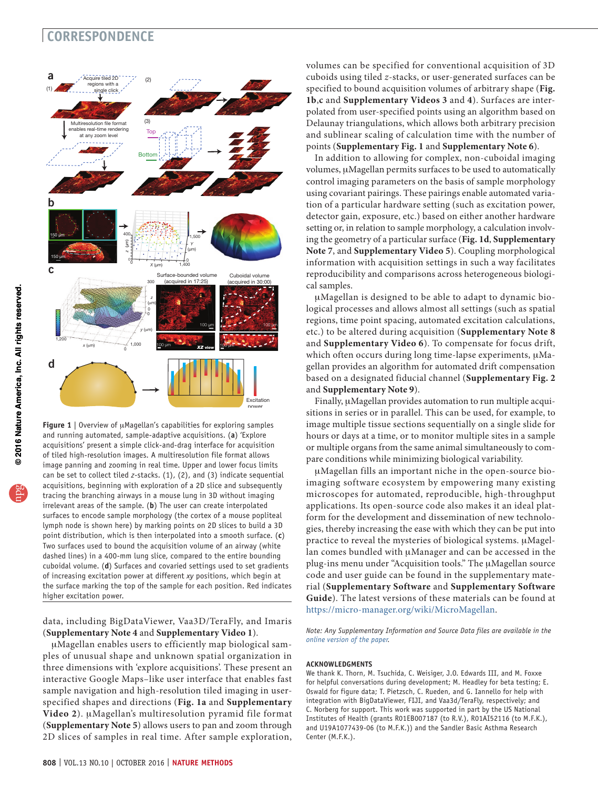## **CORRESPONDENCE**



**Figure 1** | Overview of µMagellan's capabilities for exploring samples and running automated, sample-adaptive acquisitions. (**a**) 'Explore acquisitions' present a simple click-and-drag interface for acquisition of tiled high-resolution images. A multiresolution file format allows image panning and zooming in real time. Upper and lower focus limits can be set to collect tiled *z*-stacks. (1), (2), and (3) indicate sequential acquisitions, beginning with exploration of a 2D slice and subsequently tracing the branching airways in a mouse lung in 3D without imaging irrelevant areas of the sample. (**b**) The user can create interpolated surfaces to encode sample morphology (the cortex of a mouse popliteal lymph node is shown here) by marking points on 2D slices to build a 3D point distribution, which is then interpolated into a smooth surface. (**c**) Two surfaces used to bound the acquisition volume of an airway (white dashed lines) in a 400-mm lung slice, compared to the entire bounding cuboidal volume. (**d**) Surfaces and covaried settings used to set gradients of increasing excitation power at different *xy* positions, which begin at the surface marking the top of the sample for each position. Red indicates higher excitation power.

data, including BigDataViewer, Vaa3D/TeraFly, and Imaris (**Supplementary Note 4** and **Supplementary Video 1**).

mMagellan enables users to efficiently map biological samples of unusual shape and unknown spatial organization in three dimensions with 'explore acquisitions'. These present an interactive Google Maps–like user interface that enables fast sample navigation and high-resolution tiled imaging in userspecified shapes and directions (**Fig. 1a** and **Supplementary**  Video 2). µMagellan's multiresolution pyramid file format (**Supplementary Note 5**) allows users to pan and zoom through 2D slices of samples in real time. After sample exploration,

volumes can be specified for conventional acquisition of 3D cuboids using tiled *z*-stacks, or user-generated surfaces can be specified to bound acquisition volumes of arbitrary shape (**Fig. 1b**,**c** and **Supplementary Videos 3** and **4**). Surfaces are interpolated from user-specified points using an algorithm based on Delaunay triangulations, which allows both arbitrary precision and sublinear scaling of calculation time with the number of points (**Supplementary Fig. 1** and **Supplementary Note 6**).

In addition to allowing for complex, non-cuboidal imaging volumes, µMagellan permits surfaces to be used to automatically control imaging parameters on the basis of sample morphology using covariant pairings. These pairings enable automated variation of a particular hardware setting (such as excitation power, detector gain, exposure, etc.) based on either another hardware setting or, in relation to sample morphology, a calculation involving the geometry of a particular surface (**Fig. 1d**, **Supplementary Note 7**, and **Supplementary Video 5**). Coupling morphological information with acquisition settings in such a way facilitates reproducibility and comparisons across heterogeneous biological samples.

mMagellan is designed to be able to adapt to dynamic biological processes and allows almost all settings (such as spatial regions, time point spacing, automated excitation calculations, etc.) to be altered during acquisition (**Supplementary Note 8** and **Supplementary Video 6**). To compensate for focus drift, which often occurs during long time-lapse experiments,  $\mu$ Magellan provides an algorithm for automated drift compensation based on a designated fiducial channel (**Supplementary Fig. 2** and **Supplementary Note 9**).

Finally, uMagellan provides automation to run multiple acquisitions in series or in parallel. This can be used, for example, to image multiple tissue sections sequentially on a single slide for hours or days at a time, or to monitor multiple sites in a sample or multiple organs from the same animal simultaneously to compare conditions while minimizing biological variability.

uMagellan fills an important niche in the open-source bioimaging software ecosystem by empowering many existing microscopes for automated, reproducible, high-throughput applications. Its open-source code also makes it an ideal platform for the development and dissemination of new technologies, thereby increasing the ease with which they can be put into practice to reveal the mysteries of biological systems. µMagellan comes bundled with µManager and can be accessed in the plug-ins menu under "Acquisition tools." The µMagellan source code and user guide can be found in the supplementary material (**Supplementary Software** and **Supplementary Software Guide**). The latest versions of these materials can be found at [https://micro-manager.org/wiki/MicroMagellan.](https://micro-manager.org/wiki/MicroMagellan)

*Note: Any Supplementary Information and Source Data files are available in the [online version of the paper](http://dx.doi.org/10.1038/nmeth.3991).*

#### **ACKNOWLEDGMENTS**

We thank K. Thorn, M. Tsuchida, C. Weisiger, J.O. Edwards III, and M. Foxxe for helpful conversations during development; M. Headley for beta testing; E. Oswald for figure data; T. Pietzsch, C. Rueden, and G. Iannello for help with integration with BigDataViewer, FIJI, and Vaa3d/TeraFly, respectively; and C. Norberg for support. This work was supported in part by the US National Institutes of Health (grants R01EB007187 (to R.V.), R01AI52116 (to M.F.K.), and U19A1077439-06 (to M.F.K.)) and the Sandler Basic Asthma Research Center (M.F.K.).